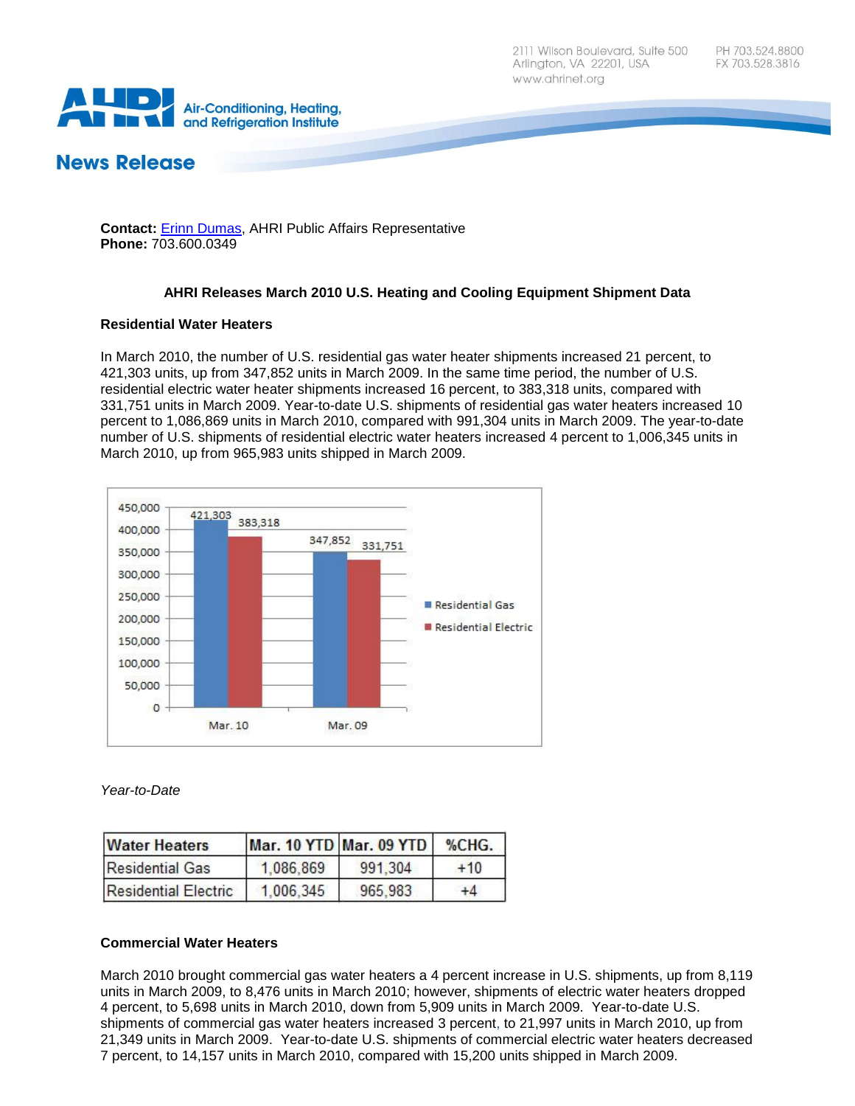

# **News Release**

#### **Contact:** [Erinn Dumas,](mailto:edumas@ahrinet.org) AHRI Public Affairs Representative **Phone:** 703.600.0349

# **AHRI Releases March 2010 U.S. Heating and Cooling Equipment Shipment Data**

# **Residential Water Heaters**

In March 2010, the number of U.S. residential gas water heater shipments increased 21 percent, to 421,303 units, up from 347,852 units in March 2009. In the same time period, the number of U.S. residential electric water heater shipments increased 16 percent, to 383,318 units, compared with 331,751 units in March 2009. Year-to-date U.S. shipments of residential gas water heaters increased 10 percent to 1,086,869 units in March 2010, compared with 991,304 units in March 2009. The year-to-date number of U.S. shipments of residential electric water heaters increased 4 percent to 1,006,345 units in March 2010, up from 965,983 units shipped in March 2009.



*Year-to-Date*

| <b>Water Heaters</b>        |           | <b>Mar. 10 YTD Mar. 09 YTD</b> | %CHG. |
|-----------------------------|-----------|--------------------------------|-------|
| <b>Residential Gas</b>      | 1,086,869 | 991,304                        | $+10$ |
| <b>Residential Electric</b> | 1.006.345 | 965.983                        | $+4$  |

# **Commercial Water Heaters**

March 2010 brought commercial gas water heaters a 4 percent increase in U.S. shipments, up from 8,119 units in March 2009, to 8,476 units in March 2010; however, shipments of electric water heaters dropped 4 percent, to 5,698 units in March 2010, down from 5,909 units in March 2009. Year-to-date U.S. shipments of commercial gas water heaters increased 3 percent, to 21,997 units in March 2010, up from 21,349 units in March 2009. Year-to-date U.S. shipments of commercial electric water heaters decreased 7 percent, to 14,157 units in March 2010, compared with 15,200 units shipped in March 2009.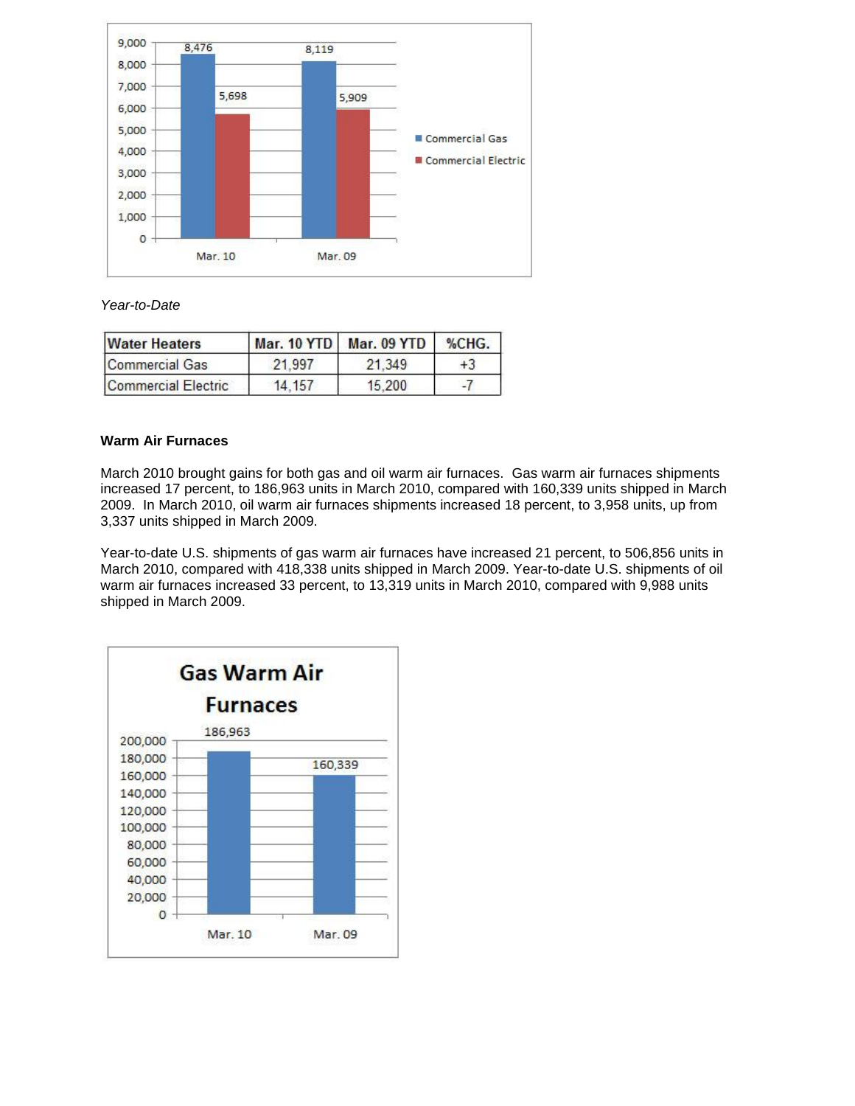

## *Year-to-Date*

| <b>Water Heaters</b> |         | Mar. 10 YTD Mar. 09 YTD | %CHG. |
|----------------------|---------|-------------------------|-------|
| Commercial Gas       | 21 997  | 21.349                  | $+3$  |
| Commercial Electric  | 14, 157 | 15,200                  |       |

## **Warm Air Furnaces**

March 2010 brought gains for both gas and oil warm air furnaces. Gas warm air furnaces shipments increased 17 percent, to 186,963 units in March 2010, compared with 160,339 units shipped in March 2009. In March 2010, oil warm air furnaces shipments increased 18 percent, to 3,958 units, up from 3,337 units shipped in March 2009.

Year-to-date U.S. shipments of gas warm air furnaces have increased 21 percent, to 506,856 units in March 2010, compared with 418,338 units shipped in March 2009. Year-to-date U.S. shipments of oil warm air furnaces increased 33 percent, to 13,319 units in March 2010, compared with 9,988 units shipped in March 2009.

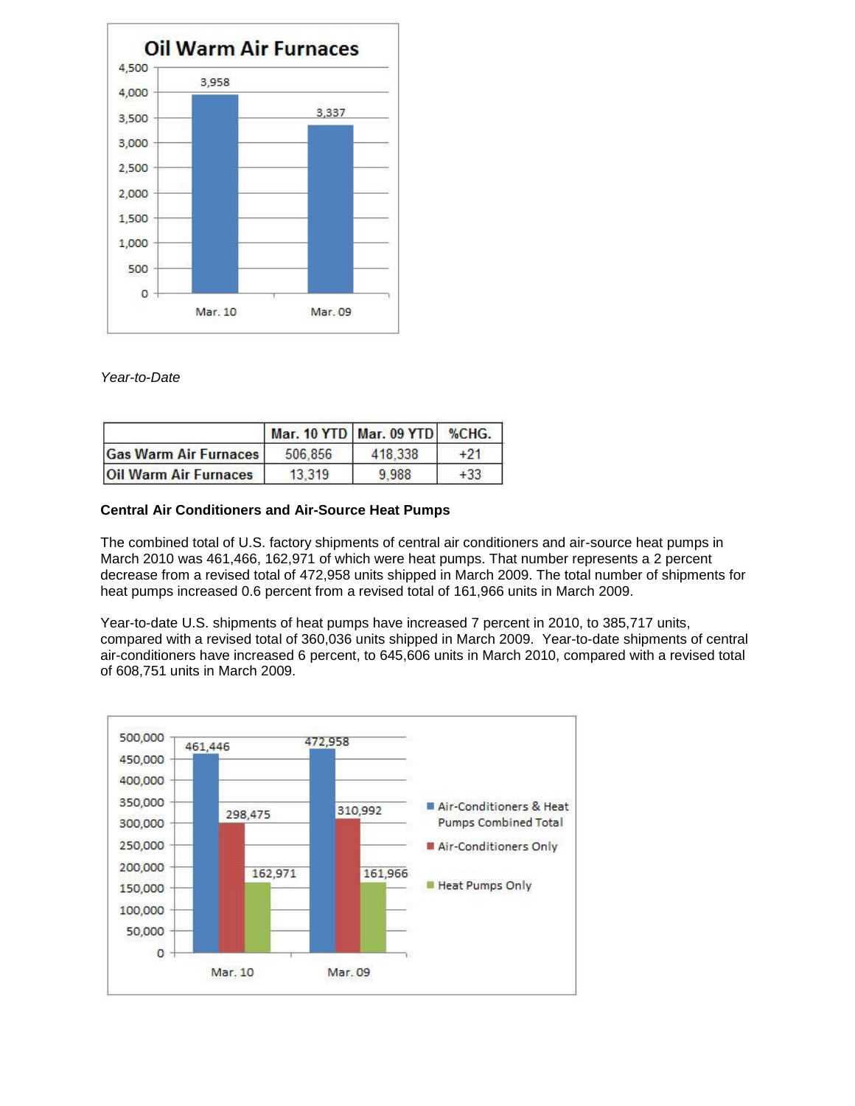

## *Year-to-Date*

|                              |         | Mar. 10 YTD Mar. 09 YTD | %CHG.  |
|------------------------------|---------|-------------------------|--------|
| <b>Gas Warm Air Furnaces</b> | 506.856 | 418.338                 | $+21$  |
| <b>Oil Warm Air Furnaces</b> | 13.319  | 9988                    | $+33.$ |

#### **Central Air Conditioners and Air-Source Heat Pumps**

The combined total of U.S. factory shipments of central air conditioners and air-source heat pumps in March 2010 was 461,466, 162,971 of which were heat pumps. That number represents a 2 percent decrease from a revised total of 472,958 units shipped in March 2009. The total number of shipments for heat pumps increased 0.6 percent from a revised total of 161,966 units in March 2009.

Year-to-date U.S. shipments of heat pumps have increased 7 percent in 2010, to 385,717 units, compared with a revised total of 360,036 units shipped in March 2009. Year-to-date shipments of central air-conditioners have increased 6 percent, to 645,606 units in March 2010, compared with a revised total of 608,751 units in March 2009.